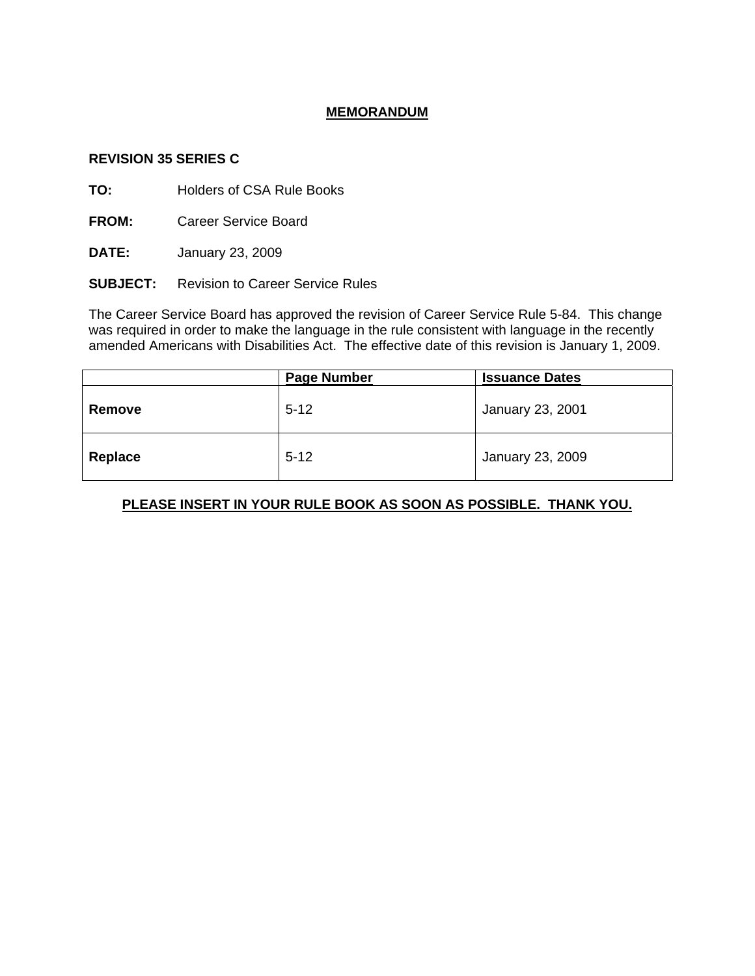### **MEMORANDUM**

#### **REVISION 35 SERIES C**

**TO:** Holders of CSA Rule Books

**FROM:** Career Service Board

**DATE:** January 23, 2009

**SUBJECT:** Revision to Career Service Rules

The Career Service Board has approved the revision of Career Service Rule 5-84. This change was required in order to make the language in the rule consistent with language in the recently amended Americans with Disabilities Act. The effective date of this revision is January 1, 2009.

|         | <b>Page Number</b> | <b>Issuance Dates</b> |
|---------|--------------------|-----------------------|
| Remove  | $5 - 12$           | January 23, 2001      |
| Replace | $5 - 12$           | January 23, 2009      |

# **PLEASE INSERT IN YOUR RULE BOOK AS SOON AS POSSIBLE. THANK YOU.**